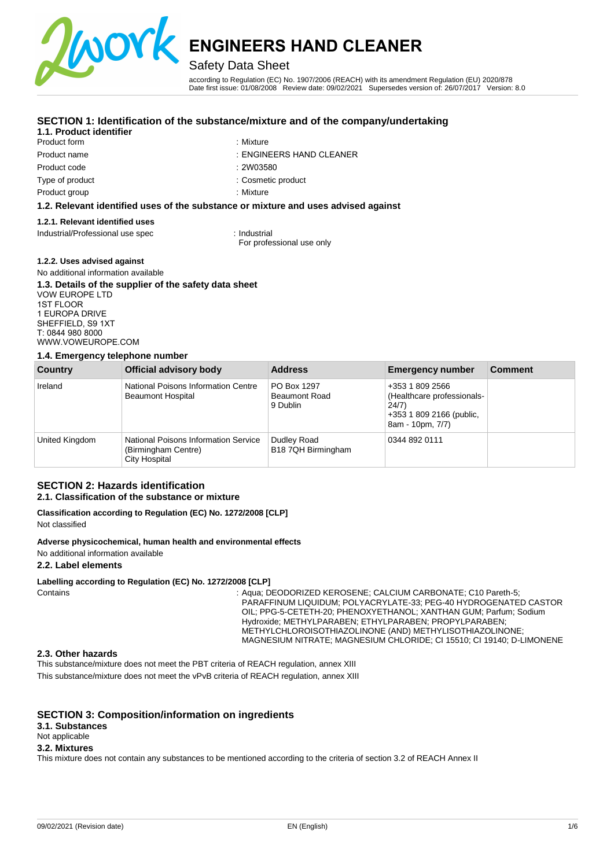

## Safety Data Sheet

according to Regulation (EC) No. 1907/2006 (REACH) with its amendment Regulation (EU) 2020/878 Date first issue: 01/08/2008 Review date: 09/02/2021 Supersedes version of: 26/07/2017 Version: 8.0

### **SECTION 1: Identification of the substance/mixture and of the company/undertaking**

### **1.1. Product identifier**

- Product form **: Mixture** : Mixture Product code Type of product
	-
- Product name : ENGINEERS HAND CLEANER
	- : 2W03580

: Mixture

: Cosmetic product

Product group

#### **1.2. Relevant identified uses of the substance or mixture and uses advised against**

#### **1.2.1. Relevant identified uses**

Industrial/Professional use spec : Industrial

For professional use only

#### **1.2.2. Uses advised against**

#### No additional information available **1.3. Details of the supplier of the safety data sheet**  VOW EUROPE LTD

1ST FLOOR 1 EUROPA DRIVE SHEFFIELD, S9 1XT T: 0844 980 8000 [WWW.VOWEUROPE.COM](mailto:info@cloverchemicals.com)

#### **1.4. Emergency telephone number**

| Country        | Official advisory body                                                       | <b>Address</b>                                  | <b>Emergency number</b>                                                                                | <b>Comment</b> |
|----------------|------------------------------------------------------------------------------|-------------------------------------------------|--------------------------------------------------------------------------------------------------------|----------------|
| Ireland        | National Poisons Information Centre<br><b>Beaumont Hospital</b>              | PO Box 1297<br><b>Beaumont Road</b><br>9 Dublin | +353 1 809 2566<br>(Healthcare professionals-<br>24/7)<br>+353 1 809 2166 (public,<br>8am - 10pm, 7/7) |                |
| United Kingdom | National Poisons Information Service<br>(Birmingham Centre)<br>City Hospital | Dudley Road<br>B18 7QH Birmingham               | 0344 892 0111                                                                                          |                |

## **SECTION 2: Hazards identification**

## **2.1. Classification of the substance or mixture**

#### **Classification according to Regulation (EC) No. 1272/2008 [CLP]**  Not classified

#### **Adverse physicochemical, human health and environmental effects**

#### No additional information available

#### **2.2. Label elements**

#### **Labelling according to Regulation (EC) No. 1272/2008 [CLP]**

Contains **EXAGGERY CONTAINS : Aqua; DEODORIZED KEROSENE; CALCIUM CARBONATE; C10 Pareth-5;** PARAFFINUM LIQUIDUM; POLYACRYLATE-33; PEG-40 HYDROGENATED CASTOR OIL; PPG-5-CETETH-20; PHENOXYETHANOL; XANTHAN GUM; Parfum; Sodium Hydroxide; METHYLPARABEN; ETHYLPARABEN; PROPYLPARABEN; METHYLCHLOROISOTHIAZOLINONE (AND) METHYLISOTHIAZOLINONE; MAGNESIUM NITRATE; MAGNESIUM CHLORIDE; CI 15510; CI 19140; D-LIMONENE

#### **2.3. Other hazards**

This substance/mixture does not meet the PBT criteria of REACH regulation, annex XIII This substance/mixture does not meet the vPvB criteria of REACH regulation, annex XIII

## **SECTION 3: Composition/information on ingredients**

#### **3.1. Substances**

Not applicable

### **3.2. Mixtures**

This mixture does not contain any substances to be mentioned according to the criteria of section 3.2 of REACH Annex II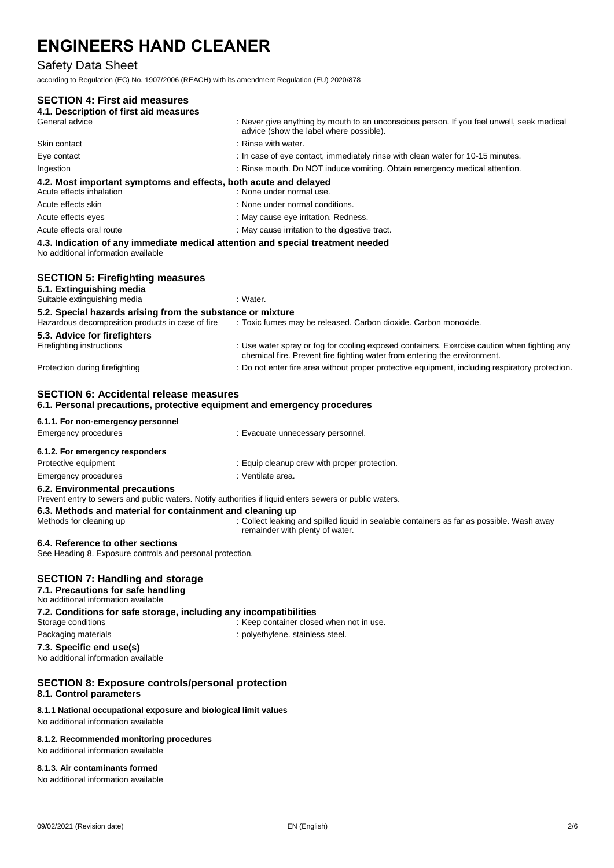## Safety Data Sheet

according to Regulation (EC) No. 1907/2006 (REACH) with its amendment Regulation (EU) 2020/878

## **SECTION 4: First aid measures 4.1. Description of first aid measures**  : Never give anything by mouth to an unconscious person. If you feel unwell, seek medical advice (show the label where possible). Skin contact : and the set of the set of the set of the set of the set of the set of the set of the set of the set of the set of the set of the set of the set of the set of the set of the set of the set of the set of the s Eye contact : In case of eye contact, immediately rinse with clean water for 10-15 minutes. Ingestion : Rinse mouth. Do NOT induce vomiting. Obtain emergency medical attention. **4.2. Most important symptoms and effects, both acute and delayed**  Acute effects inhalation **in the set of the COV** in None under normal use. Acute effects skin : None under normal conditions. Acute effects eyes **in the contract of the contract of the contract of the contract of the contract of the contract of the contract of the contract of the contract of the contract of the contract of the contract of the con** Acute effects oral route  $\qquad \qquad$ : May cause irritation to the digestive tract. **4.3. Indication of any immediate medical attention and special treatment needed**  No additional information available **SECTION 5: Firefighting measures 5.1. Extinguishing media**  Suitable extinguishing media : Water. **5.2. Special hazards arising from the substance or mixture**  Hazardous decomposition products in case of fire : Toxic fumes may be released. Carbon dioxide. Carbon monoxide. **5.3. Advice for firefighters**  Firefighting instructions : Use water spray or fog for cooling exposed containers. Exercise caution when fighting any chemical fire. Prevent fire fighting water from entering the environment. Protection during firefighting  $\blacksquare$ : Do not enter fire area without proper protective equipment, including respiratory protection. **SECTION 6: Accidental release measures 6.1. Personal precautions, protective equipment and emergency procedures 6.1.1. For non-emergency personnel**  Emergency procedures in the state of the case of the Evacuate unnecessary personnel. **6.1.2. For emergency responders**  Protective equipment **in the case of the Contract Contract Equip** cleanup crew with proper protection. Emergency procedures in the set of the set of the set of the set of the set of the set of the set of the set of the set of the set of the set of the set of the set of the set of the set of the set of the set of the set of **6.2. Environmental precautions** Prevent entry to sewers and public waters. Notify authorities if liquid enters sewers or public waters. **6.3. Methods and material for containment and cleaning up**  Methods for cleaning up : Collect leaking and spilled liquid in sealable containers as far as possible. Wash away remainder with plenty of water. **6.4. Reference to other sections**  See Heading 8. Exposure controls and personal protection. **SECTION 7: Handling and storage 7.1. Precautions for safe handling**  No additional information available **7.2. Conditions for safe storage, including any incompatibilities**  Storage conditions **Storage conditions** : Keep container closed when not in use. Packaging materials **Packaging materials** : polyethylene. stainless steel. **7.3. Specific end use(s)**  No additional information available **SECTION 8: Exposure controls/personal protection 8.1. Control parameters 8.1.1 National occupational exposure and biological limit values**  No additional information available

#### **8.1.2. Recommended monitoring procedures**

No additional information available

#### **8.1.3. Air contaminants formed**

No additional information available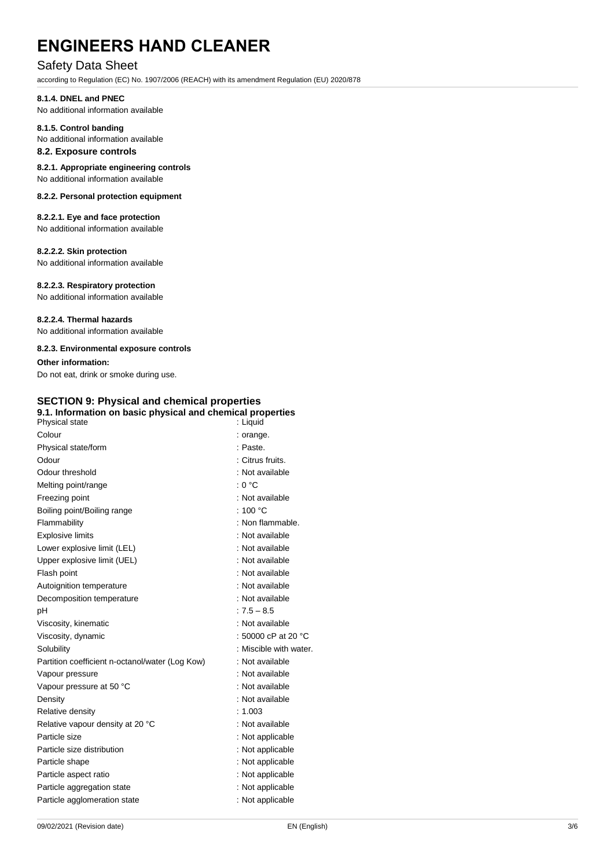## Safety Data Sheet

according to Regulation (EC) No. 1907/2006 (REACH) with its amendment Regulation (EU) 2020/878

#### **8.1.4. DNEL and PNEC**

No additional information available

#### **8.1.5. Control banding**  No additional information available

## **8.2. Exposure controls**

**8.2.1. Appropriate engineering controls**  No additional information available

#### **8.2.2. Personal protection equipment**

## **8.2.2.1. Eye and face protection**

No additional information available

## **8.2.2.2. Skin protection**

No additional information available

#### **8.2.2.3. Respiratory protection**

No additional information available

#### **8.2.2.4. Thermal hazards**

No additional information available

#### **8.2.3. Environmental exposure controls**

### **Other information:**

Do not eat, drink or smoke during use.

## **SECTION 9: Physical and chemical properties**

| 9.1. Information on basic physical and chemical properties<br>Physical state | : Liquid                      |
|------------------------------------------------------------------------------|-------------------------------|
| Colour                                                                       | : orange.                     |
| Physical state/form                                                          | : Paste.                      |
| Odour                                                                        | : Citrus fruits.              |
| Odour threshold                                                              | : Not available               |
| Melting point/range                                                          | : 0 °C                        |
| Freezing point                                                               | : Not available               |
| Boiling point/Boiling range                                                  | : 100 $^{\circ}$ C            |
| Flammability                                                                 | : Non flammable.              |
| <b>Explosive limits</b>                                                      | : Not available               |
| Lower explosive limit (LEL)                                                  | : Not available               |
| Upper explosive limit (UEL)                                                  | : Not available               |
| Flash point                                                                  | : Not available               |
| Autoignition temperature                                                     | : Not available               |
| Decomposition temperature                                                    | : Not available               |
| рH                                                                           | $: 7.5 - 8.5$                 |
| Viscosity, kinematic                                                         | : Not available               |
| Viscosity, dynamic                                                           | : 50000 cP at 20 $^{\circ}$ C |
| Solubility                                                                   | : Miscible with water.        |
| Partition coefficient n-octanol/water (Log Kow)                              | : Not available               |
| Vapour pressure                                                              | : Not available               |
| Vapour pressure at 50 °C                                                     | : Not available               |
| Density                                                                      | : Not available               |
| Relative density                                                             | : 1.003                       |
| Relative vapour density at 20 °C                                             | : Not available               |
| Particle size                                                                | : Not applicable              |
| Particle size distribution                                                   | : Not applicable              |
| Particle shape                                                               | : Not applicable              |
| Particle aspect ratio                                                        | : Not applicable              |
| Particle aggregation state                                                   | : Not applicable              |
| Particle agglomeration state                                                 | : Not applicable              |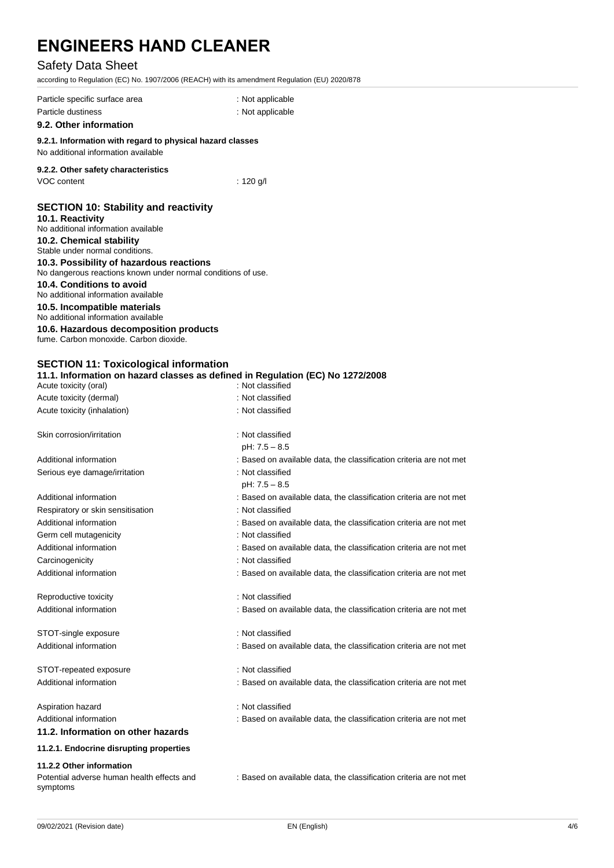## Safety Data Sheet

according to Regulation (EC) No. 1907/2006 (REACH) with its amendment Regulation (EU) 2020/878

| Particle specific surface area                                                                   | : Not applicable                                                   |  |  |
|--------------------------------------------------------------------------------------------------|--------------------------------------------------------------------|--|--|
| Particle dustiness                                                                               | : Not applicable                                                   |  |  |
| 9.2. Other information                                                                           |                                                                    |  |  |
| 9.2.1. Information with regard to physical hazard classes<br>No additional information available |                                                                    |  |  |
| 9.2.2. Other safety characteristics                                                              |                                                                    |  |  |
| VOC content                                                                                      | : $120$ g/l                                                        |  |  |
| <b>SECTION 10: Stability and reactivity</b>                                                      |                                                                    |  |  |
| 10.1. Reactivity                                                                                 |                                                                    |  |  |
| No additional information available                                                              |                                                                    |  |  |
| 10.2. Chemical stability<br>Stable under normal conditions.                                      |                                                                    |  |  |
| 10.3. Possibility of hazardous reactions                                                         |                                                                    |  |  |
| No dangerous reactions known under normal conditions of use.                                     |                                                                    |  |  |
| 10.4. Conditions to avoid<br>No additional information available                                 |                                                                    |  |  |
| 10.5. Incompatible materials<br>No additional information available                              |                                                                    |  |  |
| 10.6. Hazardous decomposition products                                                           |                                                                    |  |  |
| fume. Carbon monoxide. Carbon dioxide.                                                           |                                                                    |  |  |
| <b>SECTION 11: Toxicological information</b>                                                     |                                                                    |  |  |
| 11.1. Information on hazard classes as defined in Regulation (EC) No 1272/2008                   |                                                                    |  |  |
| Acute toxicity (oral)                                                                            | : Not classified                                                   |  |  |
| Acute toxicity (dermal)                                                                          | : Not classified                                                   |  |  |
| Acute toxicity (inhalation)                                                                      | : Not classified                                                   |  |  |
| Skin corrosion/irritation                                                                        | : Not classified                                                   |  |  |
|                                                                                                  | pH: $7.5 - 8.5$                                                    |  |  |
| Additional information                                                                           | : Based on available data, the classification criteria are not met |  |  |
| Serious eye damage/irritation                                                                    | : Not classified                                                   |  |  |
|                                                                                                  | $pH: 7.5 - 8.5$                                                    |  |  |
| Additional information                                                                           | : Based on available data, the classification criteria are not met |  |  |
| Respiratory or skin sensitisation                                                                | : Not classified                                                   |  |  |
| Additional information                                                                           | : Based on available data, the classification criteria are not met |  |  |
| Germ cell mutagenicity                                                                           | : Not classified                                                   |  |  |
| Additional information                                                                           | : Based on available data, the classification criteria are not met |  |  |
| Carcinogenicity                                                                                  | : Not classified                                                   |  |  |
| Additional information                                                                           | : Based on available data, the classification criteria are not met |  |  |
| Reproductive toxicity                                                                            | : Not classified                                                   |  |  |
| Additional information                                                                           | : Based on available data, the classification criteria are not met |  |  |
| STOT-single exposure                                                                             | : Not classified                                                   |  |  |
| Additional information                                                                           | : Based on available data, the classification criteria are not met |  |  |
|                                                                                                  |                                                                    |  |  |
| STOT-repeated exposure                                                                           | : Not classified                                                   |  |  |
| Additional information                                                                           | : Based on available data, the classification criteria are not met |  |  |
| Aspiration hazard                                                                                | : Not classified                                                   |  |  |
| Additional information                                                                           | : Based on available data, the classification criteria are not met |  |  |
| 11.2. Information on other hazards                                                               |                                                                    |  |  |
| 11.2.1. Endocrine disrupting properties                                                          |                                                                    |  |  |
| 11.2.2 Other information                                                                         |                                                                    |  |  |
| Potential adverse human health effects and<br>symptoms                                           | : Based on available data, the classification criteria are not met |  |  |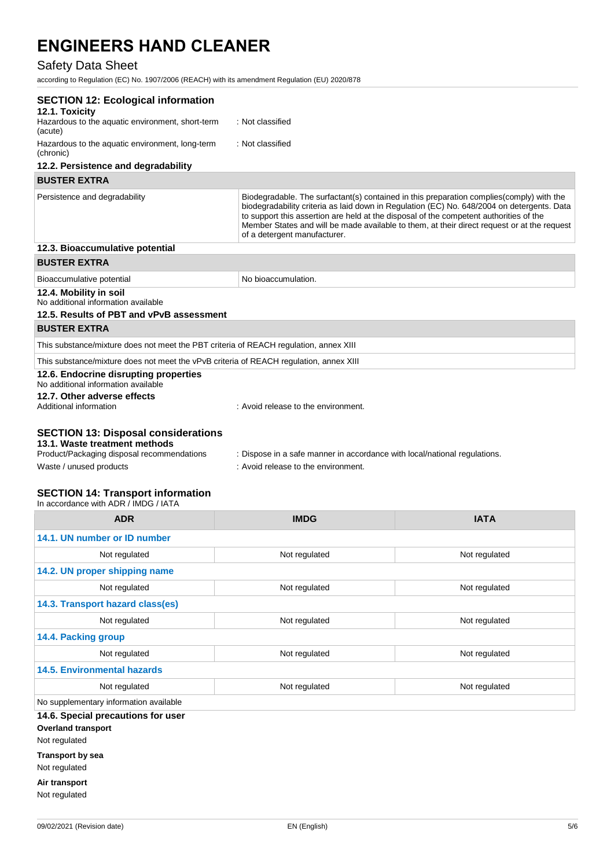## Safety Data Sheet

according to Regulation (EC) No. 1907/2006 (REACH) with its amendment Regulation (EU) 2020/878

| <b>SECTION 12: Ecological information</b><br>12.1. Toxicity                                               |                                                                                                                                                                                                                                                                                                                                                                                                                  |
|-----------------------------------------------------------------------------------------------------------|------------------------------------------------------------------------------------------------------------------------------------------------------------------------------------------------------------------------------------------------------------------------------------------------------------------------------------------------------------------------------------------------------------------|
| Hazardous to the aquatic environment, short-term<br>(acute)                                               | : Not classified                                                                                                                                                                                                                                                                                                                                                                                                 |
| Hazardous to the aquatic environment, long-term<br>(chronic)                                              | : Not classified                                                                                                                                                                                                                                                                                                                                                                                                 |
| 12.2. Persistence and degradability                                                                       |                                                                                                                                                                                                                                                                                                                                                                                                                  |
| <b>BUSTER EXTRA</b>                                                                                       |                                                                                                                                                                                                                                                                                                                                                                                                                  |
| Persistence and degradability                                                                             | Biodegradable. The surfactant(s) contained in this preparation complies (comply) with the<br>biodegradability criteria as laid down in Regulation (EC) No. 648/2004 on detergents. Data<br>to support this assertion are held at the disposal of the competent authorities of the<br>Member States and will be made available to them, at their direct request or at the request<br>of a detergent manufacturer. |
| 12.3. Bioaccumulative potential                                                                           |                                                                                                                                                                                                                                                                                                                                                                                                                  |
| <b>BUSTER EXTRA</b>                                                                                       |                                                                                                                                                                                                                                                                                                                                                                                                                  |
| Bioaccumulative potential                                                                                 | No bioaccumulation.                                                                                                                                                                                                                                                                                                                                                                                              |
| 12.4. Mobility in soil<br>No additional information available<br>12.5. Results of PBT and vPvB assessment |                                                                                                                                                                                                                                                                                                                                                                                                                  |
| <b>BUSTER EXTRA</b>                                                                                       |                                                                                                                                                                                                                                                                                                                                                                                                                  |
| This substance/mixture does not meet the PBT criteria of REACH regulation, annex XIII                     |                                                                                                                                                                                                                                                                                                                                                                                                                  |
| This substance/mixture does not meet the vPvB criteria of REACH regulation, annex XIII                    |                                                                                                                                                                                                                                                                                                                                                                                                                  |
| 12.6. Endocrine disrupting properties<br>No additional information available                              |                                                                                                                                                                                                                                                                                                                                                                                                                  |
| 12.7. Other adverse effects<br>Additional information                                                     | : Avoid release to the environment.                                                                                                                                                                                                                                                                                                                                                                              |
| <b>SECTION 13: Disposal considerations</b><br>13.1. Waste treatment methods                               |                                                                                                                                                                                                                                                                                                                                                                                                                  |
| Product/Packaging disposal recommendations                                                                | : Dispose in a safe manner in accordance with local/national regulations.                                                                                                                                                                                                                                                                                                                                        |
| Waste / unused products                                                                                   | : Avoid release to the environment.                                                                                                                                                                                                                                                                                                                                                                              |
| والمتواصل والمتحال المتواط والمناور<br>050TIAN 44. T.,                                                    |                                                                                                                                                                                                                                                                                                                                                                                                                  |

#### **SECTION 14: Transport information**

| In accordance with ADR / IMDG / IATA                            |               |               |  |  |
|-----------------------------------------------------------------|---------------|---------------|--|--|
| <b>ADR</b>                                                      | <b>IMDG</b>   | <b>IATA</b>   |  |  |
| 14.1. UN number or ID number                                    |               |               |  |  |
| Not regulated                                                   | Not regulated | Not regulated |  |  |
| 14.2. UN proper shipping name                                   |               |               |  |  |
| Not regulated                                                   | Not regulated | Not regulated |  |  |
| 14.3. Transport hazard class(es)                                |               |               |  |  |
| Not regulated                                                   | Not regulated | Not regulated |  |  |
| 14.4. Packing group                                             |               |               |  |  |
| Not regulated                                                   | Not regulated | Not regulated |  |  |
| <b>14.5. Environmental hazards</b>                              |               |               |  |  |
| Not regulated                                                   | Not regulated | Not regulated |  |  |
| No supplementary information available                          |               |               |  |  |
| 14.6. Special precautions for user<br><b>Overland transport</b> |               |               |  |  |
| Not regulated                                                   |               |               |  |  |
| <b>Transport by sea</b>                                         |               |               |  |  |
| Not regulated                                                   |               |               |  |  |

**Air transport**